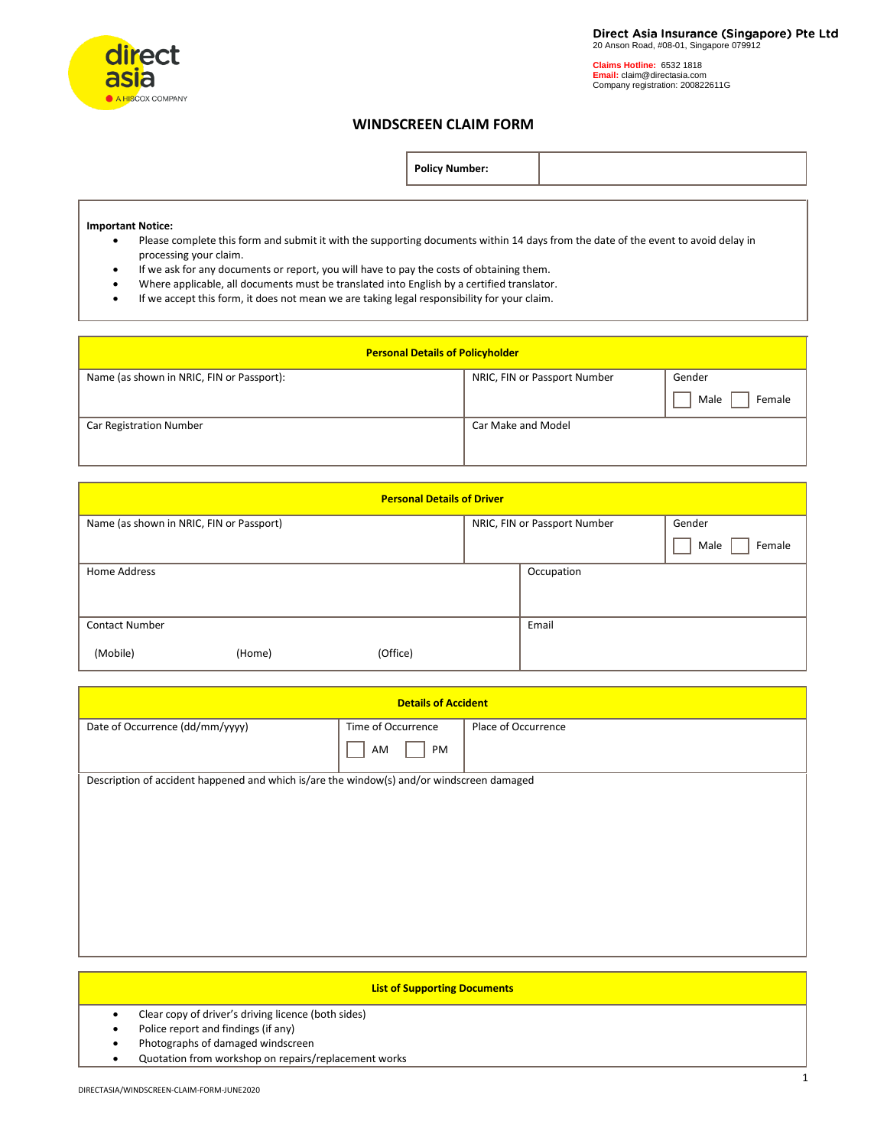

**Claims Hotline:** 6532 1818 **Email:** claim@directasia.com Company registration: 200822611G

## **WINDSCREEN CLAIM FORM**

| <b>Policy Number:</b> |  |
|-----------------------|--|
|-----------------------|--|

## **Important Notice:**

- Please complete this form and submit it with the supporting documents within 14 days from the date of the event to avoid delay in processing your claim.
- If we ask for any documents or report, you will have to pay the costs of obtaining them.
- Where applicable, all documents must be translated into English by a certified translator.
- If we accept this form, it does not mean we are taking legal responsibility for your claim.

| <b>Personal Details of Policyholder</b>   |                              |                |  |
|-------------------------------------------|------------------------------|----------------|--|
| Name (as shown in NRIC, FIN or Passport): | NRIC, FIN or Passport Number | Gender         |  |
|                                           |                              | Female<br>Male |  |
| <b>Car Registration Number</b>            | Car Make and Model           |                |  |
|                                           |                              |                |  |

| <b>Personal Details of Driver</b>        |        |          |  |                              |                |
|------------------------------------------|--------|----------|--|------------------------------|----------------|
| Name (as shown in NRIC, FIN or Passport) |        |          |  | NRIC, FIN or Passport Number | Gender         |
|                                          |        |          |  |                              | Female<br>Male |
| Home Address                             |        |          |  | Occupation                   |                |
|                                          |        |          |  |                              |                |
| <b>Contact Number</b>                    |        |          |  | Email                        |                |
| (Mobile)                                 | (Home) | (Office) |  |                              |                |

| <b>Details of Accident</b>                                                                |                    |                     |  |
|-------------------------------------------------------------------------------------------|--------------------|---------------------|--|
| Date of Occurrence (dd/mm/yyyy)                                                           | Time of Occurrence | Place of Occurrence |  |
|                                                                                           | PM<br>AM           |                     |  |
| Description of accident happened and which is/are the window(s) and/or windscreen damaged |                    |                     |  |
|                                                                                           |                    |                     |  |
|                                                                                           |                    |                     |  |
|                                                                                           |                    |                     |  |
|                                                                                           |                    |                     |  |
|                                                                                           |                    |                     |  |
|                                                                                           |                    |                     |  |
|                                                                                           |                    |                     |  |
|                                                                                           |                    |                     |  |

| <b>List of Supporting Documents</b>                  |
|------------------------------------------------------|
| Clear copy of driver's driving licence (both sides)  |
| Police report and findings (if any)                  |
| Photographs of damaged windscreen                    |
| Quotation from workshop on repairs/replacement works |